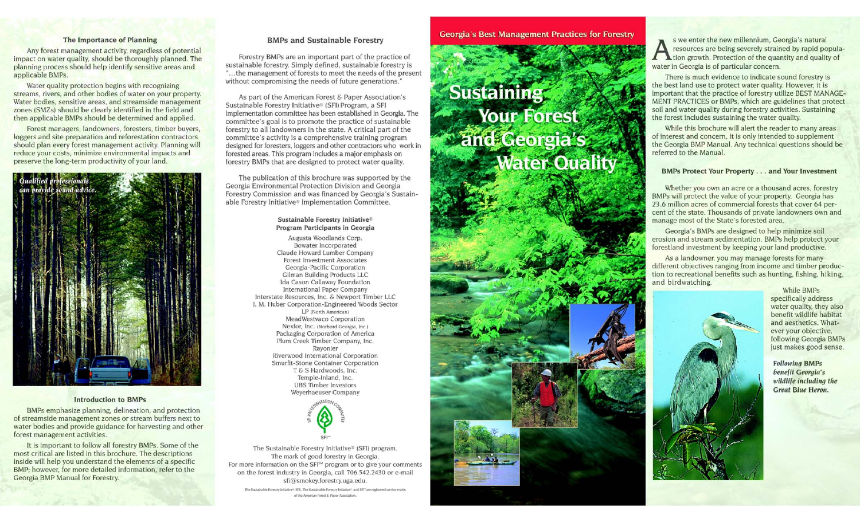# The Importance of Planning

Any forest management activity, regardless of potential impact on water quality, should be thoroughly planned. The planning process should help identify sensitive areas and applicable BMPs.

Water quality protection begins with recognizing streams, rivers, and other bodies of water on your property. Water bodies, sensitive areas, and streamside management zones (SMZs) should be clearly identified in the field and then applicable BMPs should be determined and applied.

Forest managers, landowners, foresters, timber buyers, loggers and site preparation and reforestation contractors should plan every forest management activity. Planning will reduce your costs, minimize environmental impacts and preserve the long-term productivity of your land.



# **Introduction to BMPs**

BMPs emphasize planning, delineation, and protection of streamside management zones or stream buffers next to water bodies and provide guidance for harvesting and other forest management activities.

It is important to follow all forestry BMPs. Some of the most critical are listed in this brochure. The descriptions inside will help you understand the elements of a specific BMP; however, for more detailed information, refer to the Georgia BMP Manual for Forestry.

# **BMPs and Sustainable Forestry**

Forestry BMPs are an important part of the practice of sustainable forestry. Simply defined, sustainable forestry is "...the management of forests to meet the needs of the present without compromising the needs of future generations."

As part of the American Forest & Paper Association's Sustainable Forestry Initiative® (SFI) Program, a SFI implementation committee has been established in Georgia. The committee's goal is to promote the practice of sustainable forestry to all landowners in the state. A critical part of the committee's activity is a comprehensive training program designed for foresters, loggers and other contractors who work in forested areas. This program includes a major emphasis on forestry BMPs that are designed to protect water quality.

The publication of this brochure was supported by the Georgia Environmental Protection Division and Georgia Forestry Commission and was financed by Georgia's Sustainable Forestry Initiative® Implementation Committee.

# Sustainable Forestry Initiative<sup>®</sup> Program Participants in Georgia

Augusta Woodlands Corp. Bowater Incorporated Claude Howard Lumber Company **Forest Investment Associates** Georgia-Pacific Corporation Gilman Building Products LLC Ida Cason Callaway Foundation International Paper Company Interstate Resources, Inc. & Newport Timber LLC J. M. Huber Corporation-Engineered Woods Sector LP (North American) MeadWestvaco Corporation Nexfor, Inc. (Norbord Georgia, Inc.) Packaging Corporation of America Plum Creek Timber Company, Inc. Rayonier Riverwood International Corporation Smurfit-Stone Container Corporation T & S Hardwoods, Inc. Temple-Inland, Inc. **UBS Timber Investors** Weyerhaeuser Company



The Sustainable Forestry Initiative® (SFI) program. The mark of good forestry in Georgia. For more information on the SFI<sup>5M</sup> program or to give your comments on the forest industry in Georgia, call 706.542.2430 or e-mail sfi@smokey.forestry.uga.edu.

The Sustainable Forestry Initiative® (SFI), The Sustainable Forestry Initiative®, and SFI" are registered service marks of the American Forest & Paper Association.

# **Georgia's Best Management Practices for Forestry**

# **Sustaining Sour Forest**<br>**Example Georgia's**<br>
Mater Quality

s we enter the new millennium. Georgia's natural resources are being severely strained by rapid popula-**A** tion growth. Protection of the quantity and quality of water in Georgia is of particular concern.

There is much evidence to indicate sound forestry is the best land use to protect water quality. However, it is important that the practice of forestry utilize BEST MANAGE-MENT PRACTICES or BMPs, which are guidelines that protect soil and water quality during forestry activities. Sustaining the forest includes sustaining the water quality.

While this brochure will alert the reader to many areas of interest and concern, it is only intended to supplement the Georgia BMP Manual. Any technical questions should be referred to the Manual.

# **BMPs Protect Your Property . . . and Your Investment**

Whether you own an acre or a thousand acres, forestry BMPs will protect the value of your property. Georgia has 23.6 million acres of commercial forests that cover 64 percent of the state. Thousands of private landowners own and manage most of the State's forested area.

Georgia's BMPs are designed to help minimize soil erosion and stream sedimentation. BMPs help protect your forestland investment by keeping your land productive.

As a landowner, you may manage forests for many different objectives ranging from income and timber production to recreational benefits such as hunting, fishing, hiking, and birdwatching.



While BMPs specifically address water quality, they also benefit wildlife habitat and aesthetics. Whatever your objective. following Georgia BMPs just makes good sense.

**Following BMPs** benefit Georgia's wildlife including the **Great Blue Heron.**